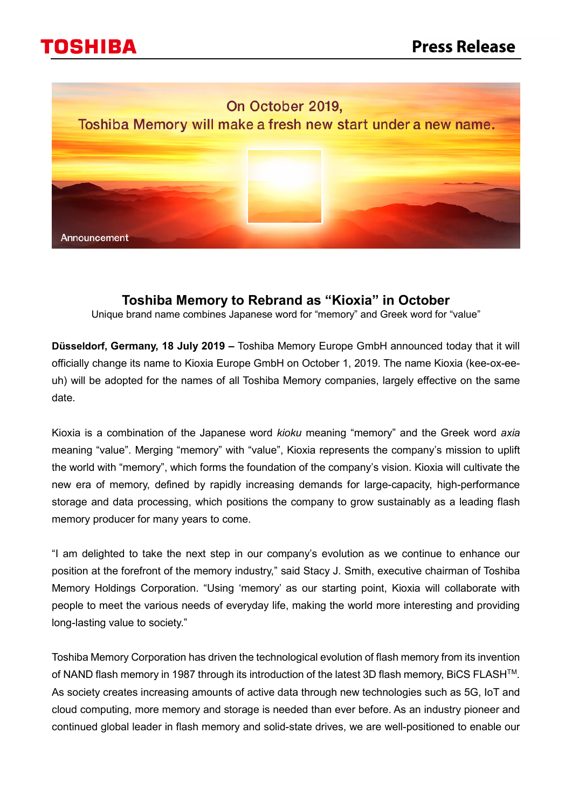



## **Toshiba Memory to Rebrand as "Kioxia" in October**

Unique brand name combines Japanese word for "memory" and Greek word for "value"

**Düsseldorf, Germany, 18 July 2019 –** Toshiba Memory Europe GmbH announced today that it will officially change its name to Kioxia Europe GmbH on October 1, 2019. The name Kioxia (kee-ox-eeuh) will be adopted for the names of all Toshiba Memory companies, largely effective on the same date.

Kioxia is a combination of the Japanese word *kioku* meaning "memory" and the Greek word *axia* meaning "value". Merging "memory" with "value", Kioxia represents the company's mission to uplift the world with "memory", which forms the foundation of the company's vision. Kioxia will cultivate the new era of memory, defined by rapidly increasing demands for large-capacity, high-performance storage and data processing, which positions the company to grow sustainably as a leading flash memory producer for many years to come.

"I am delighted to take the next step in our company's evolution as we continue to enhance our position at the forefront of the memory industry," said Stacy J. Smith, executive chairman of Toshiba Memory Holdings Corporation. "Using 'memory' as our starting point, Kioxia will collaborate with people to meet the various needs of everyday life, making the world more interesting and providing long-lasting value to society."

Toshiba Memory Corporation has driven the technological evolution of flash memory from its invention of NAND flash memory in 1987 through its introduction of the latest 3D flash memory, BiCS FLASH<sup>™</sup>. As society creates increasing amounts of active data through new technologies such as 5G, IoT and cloud computing, more memory and storage is needed than ever before. As an industry pioneer and continued global leader in flash memory and solid-state drives, we are well-positioned to enable our